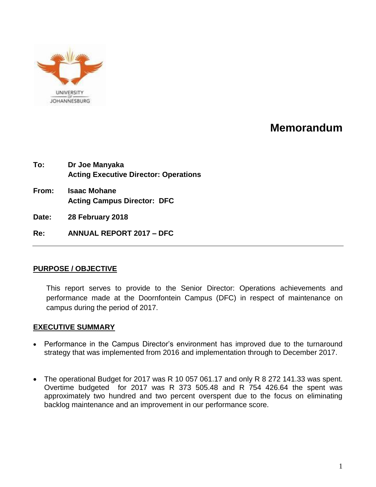

# **Memorandum**

| To:   | Dr Joe Manyaka<br><b>Acting Executive Director: Operations</b> |  |
|-------|----------------------------------------------------------------|--|
| From: | <b>Isaac Mohane</b><br><b>Acting Campus Director: DFC</b>      |  |
| Date: | 28 February 2018                                               |  |
| Re:   | <b>ANNUAL REPORT 2017 - DFC</b>                                |  |

# **PURPOSE / OBJECTIVE**

This report serves to provide to the Senior Director: Operations achievements and performance made at the Doornfontein Campus (DFC) in respect of maintenance on campus during the period of 2017.

# **EXECUTIVE SUMMARY**

- Performance in the Campus Director's environment has improved due to the turnaround strategy that was implemented from 2016 and implementation through to December 2017.
- The operational Budget for 2017 was R 10 057 061.17 and only R 8 272 141.33 was spent. Overtime budgeted for 2017 was R 373 505.48 and R 754 426.64 the spent was approximately two hundred and two percent overspent due to the focus on eliminating backlog maintenance and an improvement in our performance score.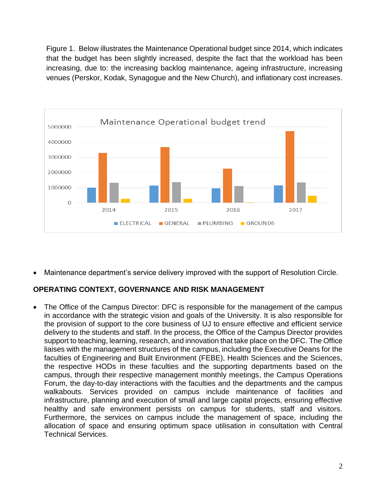Figure 1. Below illustrates the Maintenance Operational budget since 2014, which indicates that the budget has been slightly increased, despite the fact that the workload has been increasing, due to: the increasing backlog maintenance, ageing infrastructure, increasing venues (Perskor, Kodak, Synagogue and the New Church), and inflationary cost increases.



Maintenance department's service delivery improved with the support of Resolution Circle.

# **OPERATING CONTEXT, GOVERNANCE AND RISK MANAGEMENT**

 The Office of the Campus Director: DFC is responsible for the management of the campus in accordance with the strategic vision and goals of the University. It is also responsible for the provision of support to the core business of UJ to ensure effective and efficient service delivery to the students and staff. In the process, the Office of the Campus Director provides support to teaching, learning, research, and innovation that take place on the DFC. The Office liaises with the management structures of the campus, including the Executive Deans for the faculties of Engineering and Built Environment (FEBE), Health Sciences and the Sciences, the respective HODs in these faculties and the supporting departments based on the campus, through their respective management monthly meetings, the Campus Operations Forum, the day-to-day interactions with the faculties and the departments and the campus walkabouts. Services provided on campus include maintenance of facilities and infrastructure, planning and execution of small and large capital projects, ensuring effective healthy and safe environment persists on campus for students, staff and visitors. Furthermore, the services on campus include the management of space, including the allocation of space and ensuring optimum space utilisation in consultation with Central Technical Services.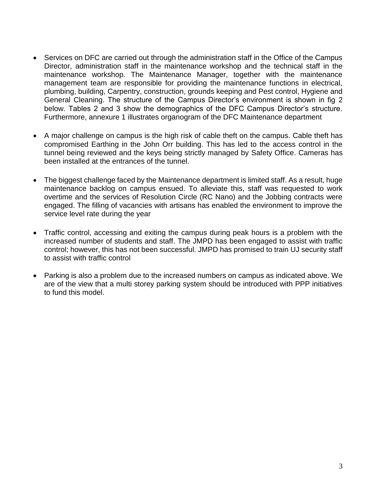- Services on DFC are carried out through the administration staff in the Office of the Campus Director, administration staff in the maintenance workshop and the technical staff in the maintenance workshop. The Maintenance Manager, together with the maintenance management team are responsible for providing the maintenance functions in electrical, plumbing, building, Carpentry, construction, grounds keeping and Pest control, Hygiene and General Cleaning. The structure of the Campus Director's environment is shown in fig 2 below. Tables 2 and 3 show the demographics of the DFC Campus Director's structure. Furthermore, annexure 1 illustrates organogram of the DFC Maintenance department
- A major challenge on campus is the high risk of cable theft on the campus. Cable theft has compromised Earthing in the John Orr building. This has led to the access control in the tunnel being reviewed and the keys being strictly managed by Safety Office. Cameras has been installed at the entrances of the tunnel.
- The biggest challenge faced by the Maintenance department is limited staff. As a result, huge maintenance backlog on campus ensued. To alleviate this, staff was requested to work overtime and the services of Resolution Circle (RC Nano) and the Jobbing contracts were engaged. The filling of vacancies with artisans has enabled the environment to improve the service level rate during the year
- Traffic control, accessing and exiting the campus during peak hours is a problem with the increased number of students and staff. The JMPD has been engaged to assist with traffic control; however, this has not been successful. JMPD has promised to train UJ security staff to assist with traffic control
- Parking is also a problem due to the increased numbers on campus as indicated above. We are of the view that a multi storey parking system should be introduced with PPP initiatives to fund this model.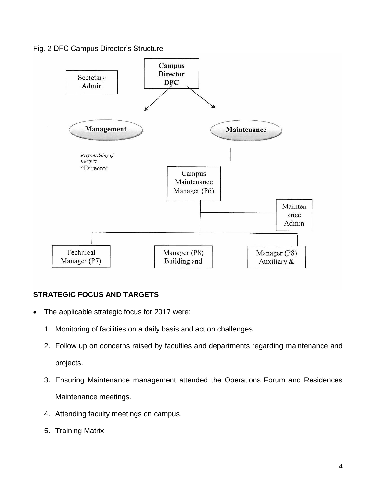#### Fig. 2 DFC Campus Director's Structure



# **STRATEGIC FOCUS AND TARGETS**

- The applicable strategic focus for 2017 were:
	- 1. Monitoring of facilities on a daily basis and act on challenges
	- 2. Follow up on concerns raised by faculties and departments regarding maintenance and projects.
	- 3. Ensuring Maintenance management attended the Operations Forum and Residences Maintenance meetings.
	- 4. Attending faculty meetings on campus.
	- 5. Training Matrix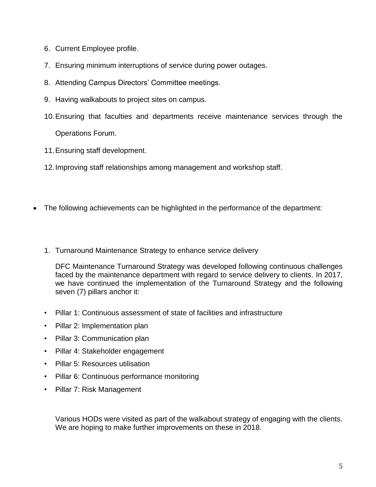- 6. Current Employee profile.
- 7. Ensuring minimum interruptions of service during power outages.
- 8. Attending Campus Directors' Committee meetings.
- 9. Having walkabouts to project sites on campus.
- 10.Ensuring that faculties and departments receive maintenance services through the

Operations Forum.

11.Ensuring staff development.

12.Improving staff relationships among management and workshop staff.

- The following achievements can be highlighted in the performance of the department:
	- 1. Turnaround Maintenance Strategy to enhance service delivery

DFC Maintenance Turnaround Strategy was developed following continuous challenges faced by the maintenance department with regard to service delivery to clients. In 2017, we have continued the implementation of the Turnaround Strategy and the following seven (7) pillars anchor it:

- Pillar 1: Continuous assessment of state of facilities and infrastructure
- Pillar 2: Implementation plan
- Pillar 3: Communication plan
- Pillar 4: Stakeholder engagement
- Pillar 5: Resources utilisation
- Pillar 6: Continuous performance monitoring
- Pillar 7: Risk Management

Various HODs were visited as part of the walkabout strategy of engaging with the clients. We are hoping to make further improvements on these in 2018.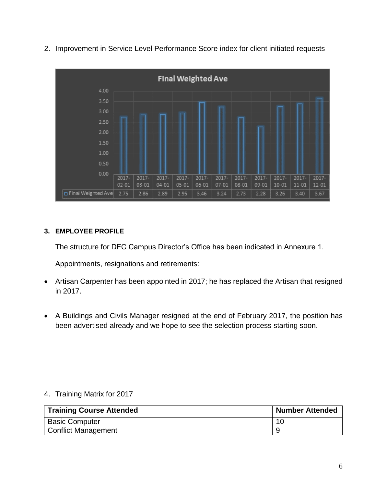2. Improvement in Service Level Performance Score index for client initiated requests



# **3. EMPLOYEE PROFILE**

The structure for DFC Campus Director's Office has been indicated in Annexure 1.

Appointments, resignations and retirements:

- Artisan Carpenter has been appointed in 2017; he has replaced the Artisan that resigned in 2017.
- A Buildings and Civils Manager resigned at the end of February 2017, the position has been advertised already and we hope to see the selection process starting soon.

# 4. Training Matrix for 2017

| <b>Training Course Attended</b> | Number Attended |
|---------------------------------|-----------------|
| <b>Basic Computer</b>           | 10              |
| Conflict Management             |                 |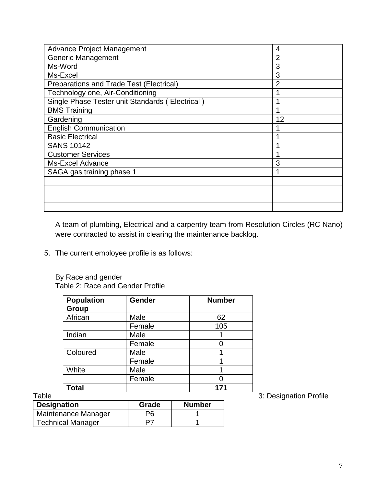| <b>Advance Project Management</b>               | 4              |
|-------------------------------------------------|----------------|
| <b>Generic Management</b>                       | 2              |
| Ms-Word                                         | 3              |
| Ms-Excel                                        | 3              |
| <b>Preparations and Trade Test (Electrical)</b> | $\overline{2}$ |
| Technology one, Air-Conditioning                |                |
| Single Phase Tester unit Standards (Electrical) |                |
| <b>BMS Training</b>                             |                |
| Gardening                                       | 12             |
| <b>English Communication</b>                    |                |
| <b>Basic Electrical</b>                         |                |
| <b>SANS 10142</b>                               |                |
| <b>Customer Services</b>                        |                |
| <b>Ms-Excel Advance</b>                         | 3              |
| SAGA gas training phase 1                       | ◢              |
|                                                 |                |
|                                                 |                |
|                                                 |                |
|                                                 |                |
|                                                 |                |

A team of plumbing, Electrical and a carpentry team from Resolution Circles (RC Nano) were contracted to assist in clearing the maintenance backlog.

5. The current employee profile is as follows:

By Race and gender Table 2: Race and Gender Profile

| <b>Population</b><br>Group | Gender | <b>Number</b> |
|----------------------------|--------|---------------|
| African                    | Male   | 62            |
|                            | Female | 105           |
| Indian                     | Male   |               |
|                            | Female |               |
| Coloured                   | Male   |               |
|                            | Female |               |
| White                      | Male   |               |
|                            | Female |               |
| Total                      |        | 171           |

| <b>Designation</b>       | Grade | <b>Number</b> |
|--------------------------|-------|---------------|
| Maintenance Manager      | Pĥ    |               |
| <b>Technical Manager</b> | כס    |               |

Table **3: Designation Profile**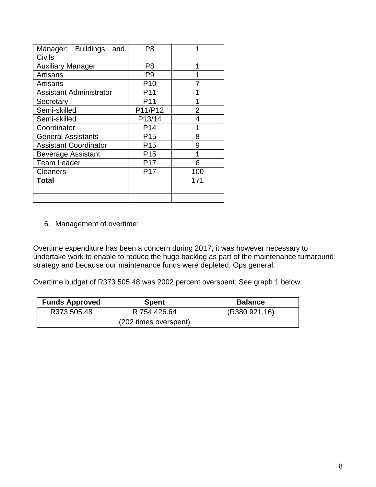| Manager: Buildings<br>and      | P8              |     |
|--------------------------------|-----------------|-----|
| Civils                         |                 |     |
| <b>Auxiliary Manager</b>       | P8              | 1   |
| Artisans                       | P9              |     |
| Artisans                       | P <sub>10</sub> |     |
| <b>Assistant Administrator</b> | P11             |     |
| Secretary                      | P11             |     |
| Semi-skilled                   | P11/P12         | 2   |
| Semi-skilled                   | P13/14          | 4   |
| Coordinator                    | P <sub>14</sub> |     |
| <b>General Assistants</b>      | P <sub>15</sub> | 8   |
| <b>Assistant Coordinator</b>   | P15             | 9   |
| <b>Beverage Assistant</b>      | P <sub>15</sub> | 1   |
| <b>Team Leader</b>             | P17             | 6   |
| <b>Cleaners</b>                | P17             | 100 |
| Total                          |                 | 171 |
|                                |                 |     |
|                                |                 |     |

6. Management of overtime:

Overtime expenditure has been a concern during 2017, it was however necessary to undertake work to enable to reduce the huge backlog as part of the maintenance turnaround strategy and because our maintenance funds were depleted, Ops general.

Overtime budget of R373 505.48 was 2002 percent overspent. See graph 1 below:

| <b>Funds Approved</b> | <b>Spent</b>          | <b>Balance</b> |
|-----------------------|-----------------------|----------------|
| R373 505.48           | R 754 426.64          | (R380 921.16)  |
|                       | (202 times overspent) |                |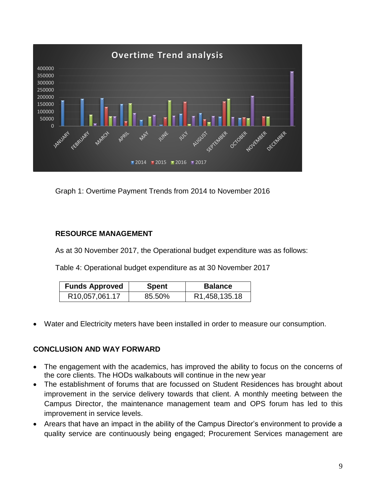

Graph 1: Overtime Payment Trends from 2014 to November 2016

# **RESOURCE MANAGEMENT**

As at 30 November 2017, the Operational budget expenditure was as follows:

Table 4: Operational budget expenditure as at 30 November 2017

| <b>Funds Approved</b>         | Spent  | <b>Balance</b>             |
|-------------------------------|--------|----------------------------|
| R <sub>10</sub> , 057, 061.17 | 85.50% | R <sub>1</sub> ,458,135.18 |

Water and Electricity meters have been installed in order to measure our consumption.

# **CONCLUSION AND WAY FORWARD**

- The engagement with the academics, has improved the ability to focus on the concerns of the core clients. The HODs walkabouts will continue in the new year
- The establishment of forums that are focussed on Student Residences has brought about improvement in the service delivery towards that client. A monthly meeting between the Campus Director, the maintenance management team and OPS forum has led to this improvement in service levels.
- Arears that have an impact in the ability of the Campus Director's environment to provide a quality service are continuously being engaged; Procurement Services management are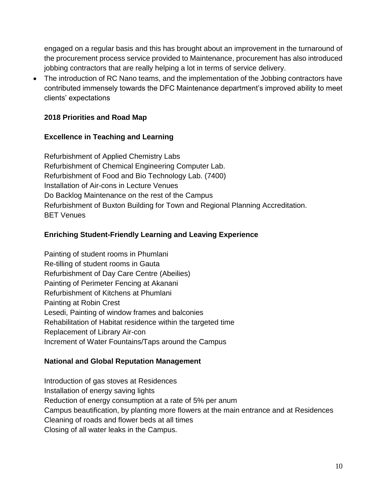engaged on a regular basis and this has brought about an improvement in the turnaround of the procurement process service provided to Maintenance, procurement has also introduced jobbing contractors that are really helping a lot in terms of service delivery.

• The introduction of RC Nano teams, and the implementation of the Jobbing contractors have contributed immensely towards the DFC Maintenance department's improved ability to meet clients' expectations

# **2018 Priorities and Road Map**

# **Excellence in Teaching and Learning**

Refurbishment of Applied Chemistry Labs Refurbishment of Chemical Engineering Computer Lab. Refurbishment of Food and Bio Technology Lab. (7400) Installation of Air-cons in Lecture Venues Do Backlog Maintenance on the rest of the Campus Refurbishment of Buxton Building for Town and Regional Planning Accreditation. BET Venues

# **Enriching Student-Friendly Learning and Leaving Experience**

Painting of student rooms in Phumlani Re-tilling of student rooms in Gauta Refurbishment of Day Care Centre (Abeilies) Painting of Perimeter Fencing at Akanani Refurbishment of Kitchens at Phumlani Painting at Robin Crest Lesedi, Painting of window frames and balconies Rehabilitation of Habitat residence within the targeted time Replacement of Library Air-con Increment of Water Fountains/Taps around the Campus

# **National and Global Reputation Management**

Introduction of gas stoves at Residences Installation of energy saving lights Reduction of energy consumption at a rate of 5% per anum Campus beautification, by planting more flowers at the main entrance and at Residences Cleaning of roads and flower beds at all times Closing of all water leaks in the Campus.